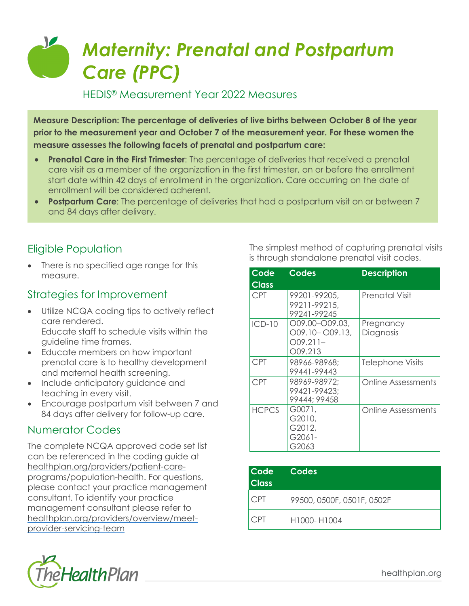## *Maternity: Prenatal and Postpartum Care (PPC)*

HEDIS® Measurement Year 2022 Measures

**Measure Description: The percentage of deliveries of live births between October 8 of the year prior to the measurement year and October 7 of the measurement year. For these women the measure assesses the following facets of prenatal and postpartum care:**

- **Prenatal Care in the First Trimester**: The percentage of deliveries that received a prenatal care visit as a member of the organization in the first trimester, on or before the enrollment start date within 42 days of enrollment in the organization. Care occurring on the date of enrollment will be considered adherent.
- **Postpartum Care**: The percentage of deliveries that had a postpartum visit on or between 7 and 84 days after delivery.

## Eligible Population

• There is no specified age range for this measure.

#### Strategies for Improvement

- Utilize NCQA coding tips to actively reflect care rendered. Educate staff to schedule visits within the guideline time frames.
- Educate members on how important prenatal care is to healthy development and maternal health screening.
- Include anticipatory guidance and teaching in every visit.
- Encourage postpartum visit between 7 and 84 days after delivery for follow-up care.

#### Numerator Codes

The complete NCQA approved code set list can be referenced in the coding guide at [healthplan.org/providers/patient-care](https://www.healthplan.org/providers/patient-care-programs/population-health)[programs/population-health.](https://www.healthplan.org/providers/patient-care-programs/population-health) For questions, please contact your practice management consultant. To identify your practice management consultant please refer to [healthplan.org/providers/overview/meet](https://healthplan.org/providers/overview/meet-provider-servicing-team)[provider-servicing-team](https://healthplan.org/providers/overview/meet-provider-servicing-team)



| Code         | <b>Codes</b>                                               | <b>Description</b>        |
|--------------|------------------------------------------------------------|---------------------------|
| <b>Class</b> |                                                            |                           |
| <b>CPT</b>   | 99201-99205,<br>99211-99215,<br>99241-99245                | <b>Prenatal Visit</b>     |
| $ICD-10$     | $O09.00 - O09.03$<br>O09.10-O09.13,<br>009.211–<br>009.213 | Pregnancy<br>Diagnosis    |
| <b>CPT</b>   | 98966-98968;<br>99441-99443                                | Telephone Visits          |
| <b>CPT</b>   | 98969-98972;<br>99421-99423;<br>99444; 99458               | Online Assessments        |
| <b>HCPCS</b> | G0071,<br>G2010,<br>G2012,<br>G2061-<br>G2063              | <b>Online Assessments</b> |

| Code<br><b>Class</b> | Codes                      |
|----------------------|----------------------------|
| CPT                  | 99500, 0500F, 0501F, 0502F |
| CP1                  | H1000-H1004                |